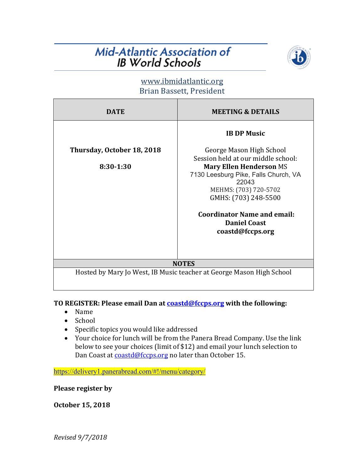## **Mid-Atlantic Association of IB World Schools**



### www.ibmidatlantic.org Brian Bassett, President

| <b>DATE</b>                                                          | <b>MEETING &amp; DETAILS</b>         |
|----------------------------------------------------------------------|--------------------------------------|
|                                                                      | <b>IB DP Music</b>                   |
| Thursday, October 18, 2018                                           | George Mason High School             |
|                                                                      | Session held at our middle school:   |
| 8:30-1:30                                                            | <b>Mary Ellen Henderson MS</b>       |
|                                                                      | 7130 Leesburg Pike, Falls Church, VA |
|                                                                      | 22043                                |
|                                                                      | MEHMS: (703) 720-5702                |
|                                                                      | GMHS: (703) 248-5500                 |
|                                                                      | <b>Coordinator Name and email:</b>   |
|                                                                      | <b>Daniel Coast</b>                  |
|                                                                      | coastd@fccps.org                     |
|                                                                      |                                      |
|                                                                      |                                      |
| <b>NOTES</b>                                                         |                                      |
|                                                                      |                                      |
| Hosted by Mary Jo West, IB Music teacher at George Mason High School |                                      |
|                                                                      |                                      |

TO REGISTER: Please email Dan at **coastd@fccps.org** with the following:

- Name
- School
- Specific topics you would like addressed
- Your choice for lunch will be from the Panera Bread Company. Use the link below to see your choices (limit of \$12) and email your lunch selection to Dan Coast at coastd@fccps.org no later than October 15.

https://delivery1.panerabread.com/#!/menu/category/

**Please register by** 

**October 15, 2018**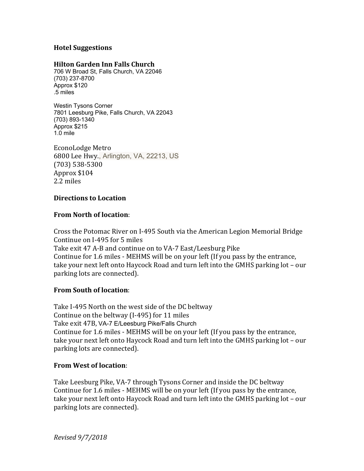#### **Hotel Suggestions**

#### **Hilton Garden Inn Falls Church**

706 W Broad St, Falls Church, VA 22046 (703) 237-8700 Approx \$120 .5 miles

Westin Tysons Corner 7801 Leesburg Pike, Falls Church, VA 22043 (703) 893-1340 Approx \$215  $1.0 \text{ mile}$ 

EconoLodge Metro 6800 Lee Hwy., Arlington, VA, 22213, US (703) 538-5300 Approx \$104 2.2 miles

#### **Directions to Location**

#### **From North of location:**

Cross the Potomac River on I-495 South via the American Legion Memorial Bridge Continue on I-495 for 5 miles Take exit 47 A-B and continue on to VA-7 East/Leesburg Pike Continue for 1.6 miles - MEHMS will be on your left (If you pass by the entrance, take your next left onto Haycock Road and turn left into the GMHS parking lot - our parking lots are connected).

#### **From South of location:**

Take I-495 North on the west side of the DC beltway Continue on the beltway  $(I-495)$  for 11 miles Take exit 47B, VA-7 E/Leesburg Pike/Falls Church Continue for 1.6 miles - MEHMS will be on your left (If you pass by the entrance, take your next left onto Haycock Road and turn left into the GMHS parking lot - our parking lots are connected).

#### **From West of location:**

Take Leesburg Pike, VA-7 through Tysons Corner and inside the DC beltway Continue for 1.6 miles - MEHMS will be on your left (If you pass by the entrance, take your next left onto Haycock Road and turn left into the GMHS parking lot - our parking lots are connected).